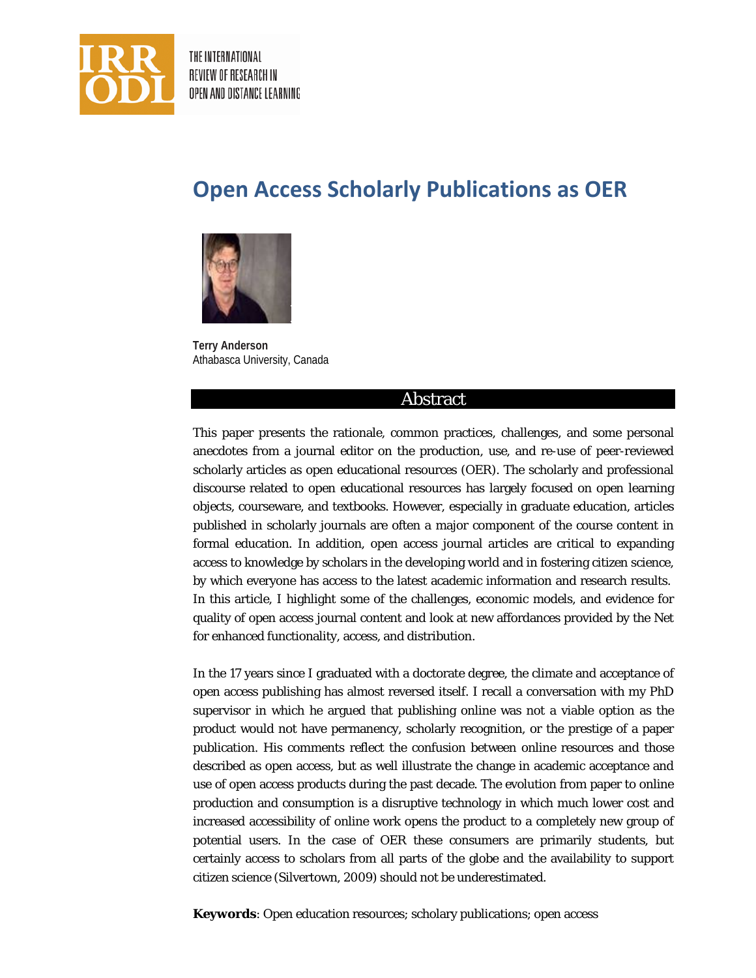

# **Open Access Scholarly Publications as OER**



**Terry Anderson** Athabasca University, Canada

#### Abstract

This paper presents the rationale, common practices, challenges, and some personal anecdotes from a journal editor on the production, use, and re-use of peer-reviewed scholarly articles as open educational resources (OER). The scholarly and professional discourse related to open educational resources has largely focused on open learning objects, courseware, and textbooks. However, especially in graduate education, articles published in scholarly journals are often a major component of the course content in formal education. In addition, open access journal articles are critical to expanding access to knowledge by scholars in the developing world and in fostering citizen science, by which everyone has access to the latest academic information and research results. In this article, I highlight some of the challenges, economic models, and evidence for quality of open access journal content and look at new affordances provided by the Net for enhanced functionality, access, and distribution.

In the 17 years since I graduated with a doctorate degree, the climate and acceptance of open access publishing has almost reversed itself. I recall a conversation with my PhD supervisor in which he argued that publishing online was not a viable option as the product would not have permanency, scholarly recognition, or the prestige of a paper publication. His comments reflect the confusion between online resources and those described as open access, but as well illustrate the change in academic acceptance and use of open access products during the past decade. The evolution from paper to online production and consumption is a disruptive technology in which much lower cost and increased accessibility of online work opens the product to a completely new group of potential users. In the case of OER these consumers are primarily students, but certainly access to scholars from all parts of the globe and the availability to support citizen science (Silvertown, 2009) should not be underestimated.

**Keywords**: Open education resources; scholary publications; open access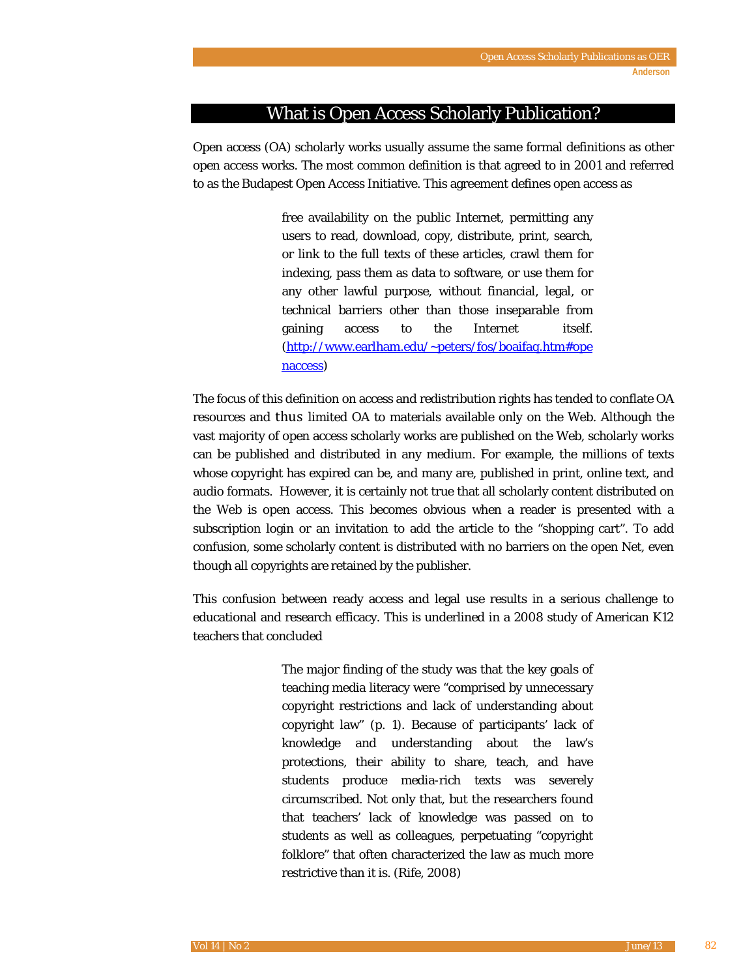#### What is Open Access Scholarly Publication?

Open access (OA) scholarly works usually assume the same formal definitions as other open access works. The most common definition is that agreed to in 2001 and referred to as the Budapest Open Access Initiative. This agreement defines open access as

> free availability on the public Internet, permitting any users to read, download, copy, distribute, print, search, or link to the full texts of these articles, crawl them for indexing, pass them as data to software, or use them for any other lawful purpose, without financial, legal, or technical barriers other than those inseparable from gaining access to the Internet itself. [\(http://www.earlham.edu/~peters/fos/boaifaq.htm#ope](http://www.earlham.edu/~peters/fos/boaifaq.htm#openaccess) [naccess\)](http://www.earlham.edu/~peters/fos/boaifaq.htm#openaccess)

The focus of this definition on access and redistribution rights has tended to conflate OA resources and thus limited OA to materials available only on the Web. Although the vast majority of open access scholarly works are published on the Web, scholarly works can be published and distributed in any medium. For example, the millions of texts whose copyright has expired can be, and many are, published in print, online text, and audio formats. However, it is certainly not true that all scholarly content distributed on the Web is open access. This becomes obvious when a reader is presented with a subscription login or an invitation to add the article to the "shopping cart". To add confusion, some scholarly content is distributed with no barriers on the open Net, even though all copyrights are retained by the publisher.

This confusion between ready access and legal use results in a serious challenge to educational and research efficacy. This is underlined in a 2008 study of American K12 teachers that concluded

> The major finding of the study was that the key goals of teaching media literacy were "comprised by unnecessary copyright restrictions and lack of understanding about copyright law" (p. 1). Because of participants' lack of knowledge and understanding about the law's protections, their ability to share, teach, and have students produce media-rich texts was severely circumscribed. Not only that, but the researchers found that teachers' lack of knowledge was passed on to students as well as colleagues, perpetuating "copyright folklore" that often characterized the law as much more restrictive than it is. [\(Rife, 2008\)](#page-14-0)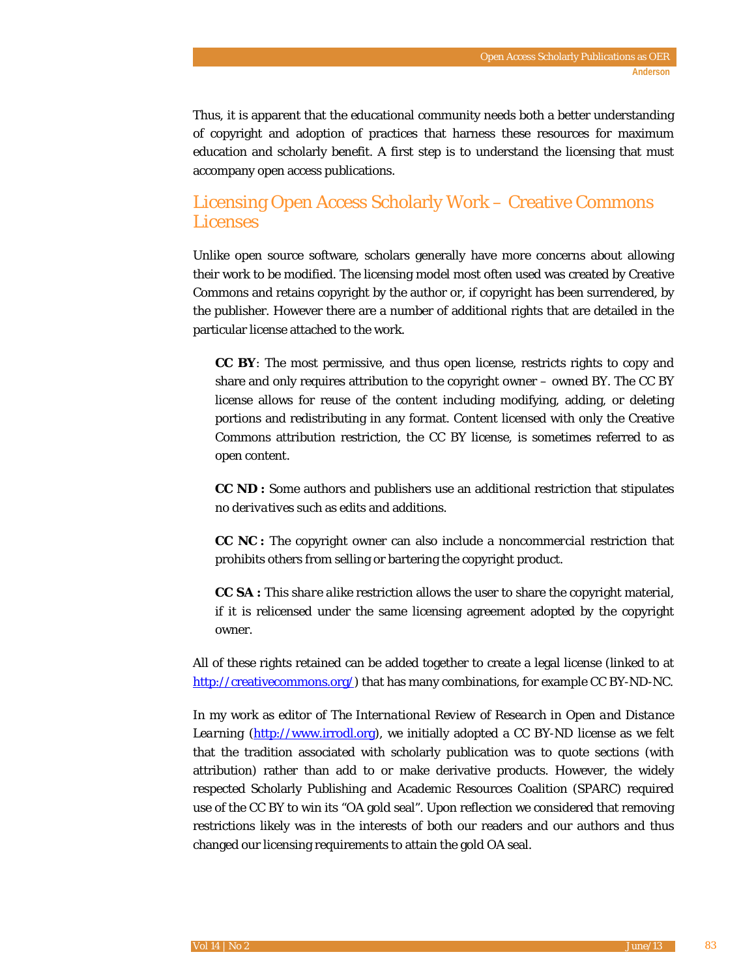Thus, it is apparent that the educational community needs both a better understanding of copyright and adoption of practices that harness these resources for maximum education and scholarly benefit. A first step is to understand the licensing that must accompany open access publications.

### Licensing Open Access Scholarly Work – Creative Commons Licenses

Unlike open source software, scholars generally have more concerns about allowing their work to be modified. The licensing model most often used was created by Creative Commons and retains copyright by the author or, if copyright has been surrendered, by the publisher. However there are a number of additional rights that are detailed in the particular license attached to the work.

**CC BY**: The most permissive, and thus open license, restricts rights to copy and share and only requires attribution to the copyright owner – owned BY. The CC BY license allows for reuse of the content including modifying, adding, or deleting portions and redistributing in any format. Content licensed with only the Creative Commons attribution restriction, the CC BY license, is sometimes referred to as open content.

**CC ND :** Some authors and publishers use an additional restriction that stipulates *no derivatives* such as edits and additions.

**CC NC :** The copyright owner can also include a *noncommercial* restriction that prohibits others from selling or bartering the copyright product.

**CC SA :** This *share alike* restriction allows the user to share the copyright material, if it is relicensed under the same licensing agreement adopted by the copyright owner.

All of these rights retained can be added together to create a legal license (linked to at [http://creativecommons.org/\)](http://creativecommons.org/) that has many combinations, for example CC BY-ND-NC.

In my work as editor of *The International Review of Research in Open and Distance Learning* [\(http://www.irrodl.org\)](http://www.irrodl.org/), we initially adopted a CC BY-ND license as we felt that the tradition associated with scholarly publication was to quote sections (with attribution) rather than add to or make derivative products. However, the widely respected Scholarly Publishing and Academic Resources Coalition (SPARC) required use of the CC BY to win its "OA gold seal". Upon reflection we considered that removing restrictions likely was in the interests of both our readers and our authors and thus changed our licensing requirements to attain the gold OA seal.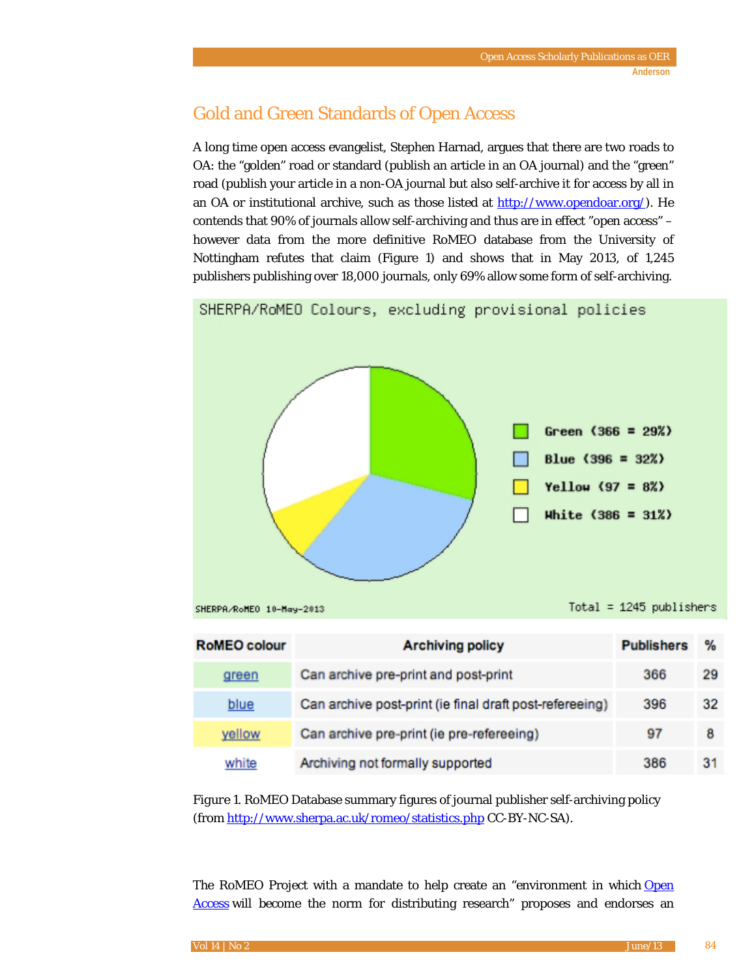# Gold and Green Standards of Open Access

A long time open access evangelist, Stephen Harnad, argues that there are two roads to OA: the "golden" road or standard (publish an article in an OA journal) and the "green" road (publish your article in a non-OA journal but also self-archive it for access by all in an OA or institutional archive, such as those listed at [http://www.opendoar.org/\)](http://www.opendoar.org/). He contends that 90% of journals allow self-archiving and thus are in effect "open access" – however data from the more definitive RoMEO database from the University of Nottingham refutes that claim (Figure 1) and shows that in May 2013, of 1,245 publishers publishing over 18,000 journals, only 69% allow some form of self-archiving.

SHERPA/RoMEO Colours, excluding provisional policies



SHERPA/RoMEO 10-May-2013

 $Total = 1245$  publishers

| <b>RoMEO colour</b> | <b>Archiving policy</b>                                 | <b>Publishers</b> | %  |
|---------------------|---------------------------------------------------------|-------------------|----|
| green               | Can archive pre-print and post-print                    | 366               | 29 |
| blue                | Can archive post-print (ie final draft post-refereeing) | 396               | 32 |
| yellow              | Can archive pre-print (ie pre-refereeing)               | 97                | 8  |
| white               | Archiving not formally supported                        | 386               | 31 |

*Figure 1*. RoMEO Database summary figures of journal publisher self-archiving policy (from<http://www.sherpa.ac.uk/romeo/statistics.php> CC-BY-NC-SA).

The RoMEO Project with a mandate to help create an "environment in which Open [Access](http://www.eprints.org/openaccess/) will become the norm for distributing research" proposes and endorses an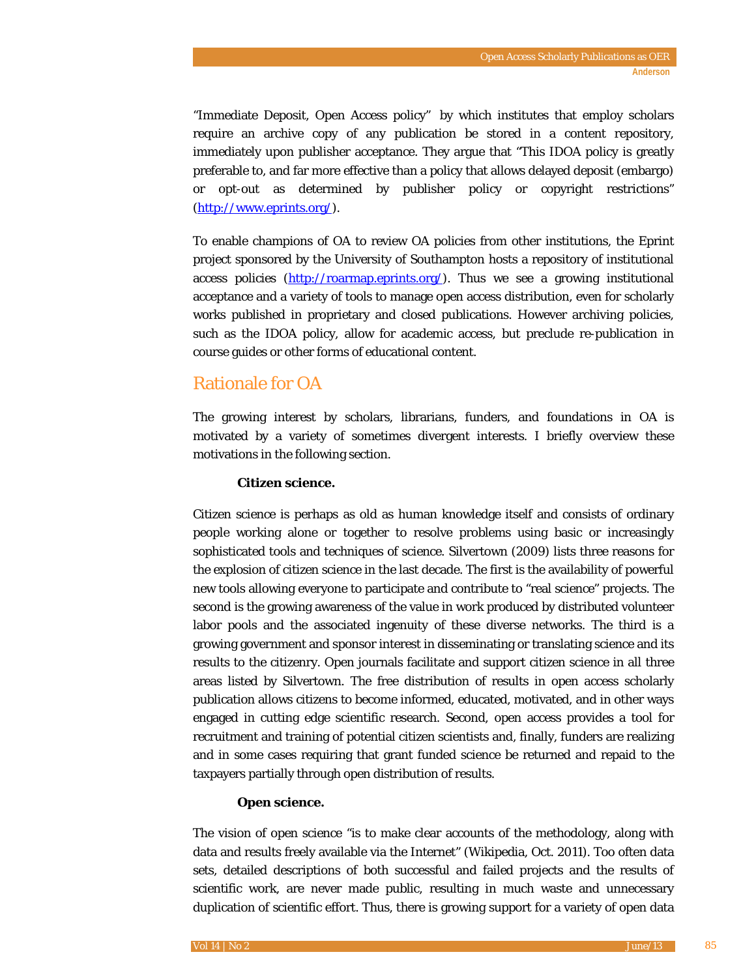"Immediate Deposit, Open Access policy" by which institutes that employ scholars require an archive copy of any publication be stored in a content repository, immediately upon publisher acceptance. They argue that "This IDOA policy is greatly preferable to, and far more effective than a policy that allows delayed deposit (embargo) or opt-out as determined by publisher policy or copyright restrictions" [\(http://www.eprints.org/\)](http://www.eprints.org/).

To enable champions of OA to review OA policies from other institutions, the Eprint project sponsored by the University of Southampton hosts a repository of institutional access policies  $(\frac{http://roarmap.eprints.org/}{$ . Thus we see a growing institutional acceptance and a variety of tools to manage open access distribution, even for scholarly works published in proprietary and closed publications. However archiving policies, such as the IDOA policy, allow for academic access, but preclude re-publication in course guides or other forms of educational content.

### Rationale for OA

The growing interest by scholars, librarians, funders, and foundations in OA is motivated by a variety of sometimes divergent interests. I briefly overview these motivations in the following section.

#### **Citizen science.**

Citizen science is perhaps as old as human knowledge itself and consists of ordinary people working alone or together to resolve problems using basic or increasingly sophisticated tools and techniques of science. Silvertown [\(2009\)](#page-14-1) lists three reasons for the explosion of citizen science in the last decade. The first is the availability of powerful new tools allowing everyone to participate and contribute to "real science" projects. The second is the growing awareness of the value in work produced by distributed volunteer labor pools and the associated ingenuity of these diverse networks. The third is a growing government and sponsor interest in disseminating or translating science and its results to the citizenry. Open journals facilitate and support citizen science in all three areas listed by Silvertown. The free distribution of results in open access scholarly publication allows citizens to become informed, educated, motivated, and in other ways engaged in cutting edge scientific research. Second, open access provides a tool for recruitment and training of potential citizen scientists and, finally, funders are realizing and in some cases requiring that grant funded science be returned and repaid to the taxpayers partially through open distribution of results.

#### **Open science.**

The vision of open science "is to make clear accounts of the methodology, along with data and results freely available via the Internet" (Wikipedia, Oct. 2011). Too often data sets, detailed descriptions of both successful and failed projects and the results of scientific work, are never made public, resulting in much waste and unnecessary duplication of scientific effort. Thus, there is growing support for a variety of open data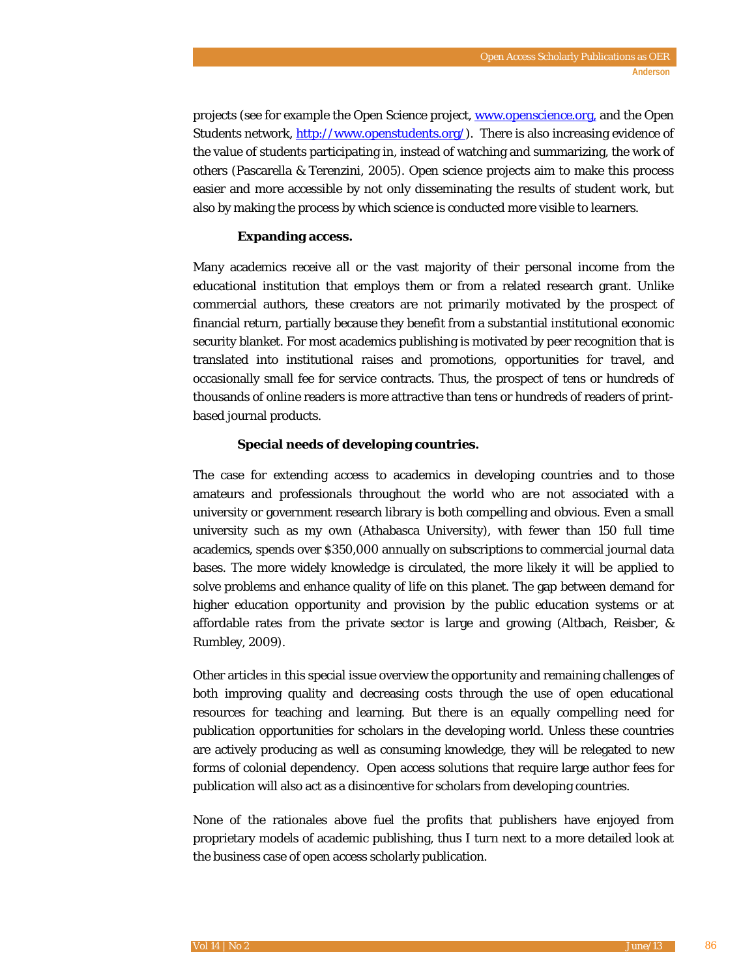projects (see for example the Open Science project, [www.openscience.org,](http://www.openscience.org/) and the Open Students network, [http://www.openstudents.org/\)](http://www.openstudents.org/). There is also increasing evidence of the value of students participating in, instead of watching and summarizing, the work of others [\(Pascarella & Terenzini, 2005\)](#page-13-0). Open science projects aim to make this process easier and more accessible by not only disseminating the results of student work, but also by making the process by which science is conducted more visible to learners.

#### **Expanding access.**

Many academics receive all or the vast majority of their personal income from the educational institution that employs them or from a related research grant. Unlike commercial authors, these creators are not primarily motivated by the prospect of financial return, partially because they benefit from a substantial institutional economic security blanket. For most academics publishing is motivated by peer recognition that is translated into institutional raises and promotions, opportunities for travel, and occasionally small fee for service contracts. Thus, the prospect of tens or hundreds of thousands of online readers is more attractive than tens or hundreds of readers of printbased journal products.

#### **Special needs of developing countries.**

The case for extending access to academics in developing countries and to those amateurs and professionals throughout the world who are not associated with a university or government research library is both compelling and obvious. Even a small university such as my own (Athabasca University), with fewer than 150 full time academics, spends over \$350,000 annually on subscriptions to commercial journal data bases. The more widely knowledge is circulated, the more likely it will be applied to solve problems and enhance quality of life on this planet. The gap between demand for higher education opportunity and provision by the public education systems or at affordable rates from the private sector is large and growing [\(Altbach, Reisber, &](#page-13-1)  [Rumbley, 2009\)](#page-13-1).

Other articles in this special issue overview the opportunity and remaining challenges of both improving quality and decreasing costs through the use of open educational resources for teaching and learning. But there is an equally compelling need for publication opportunities for scholars in the developing world. Unless these countries are actively producing as well as consuming knowledge, they will be relegated to new forms of colonial dependency. Open access solutions that require large author fees for publication will also act as a disincentive for scholars from developing countries.

None of the rationales above fuel the profits that publishers have enjoyed from proprietary models of academic publishing, thus I turn next to a more detailed look at the business case of open access scholarly publication.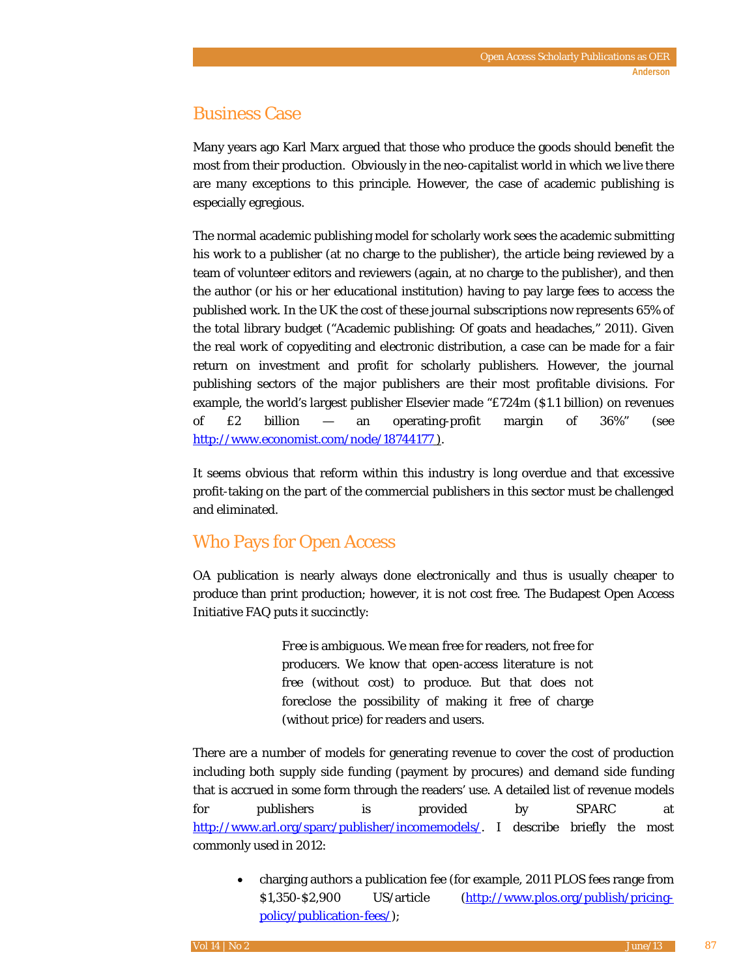# Business Case

Many years ago Karl Marx argued that those who produce the goods should benefit the most from their production. Obviously in the neo-capitalist world in which we live there are many exceptions to this principle. However, the case of academic publishing is especially egregious.

The normal academic publishing model for scholarly work sees the academic submitting his work to a publisher (at no charge to the publisher), the article being reviewed by a team of volunteer editors and reviewers (again, at no charge to the publisher), and then the author (or his or her educational institution) having to pay large fees to access the published work. In the UK the cost of these journal subscriptions now represents 65% of the total library budget (["Academic publishing: Of goats and headaches,"](#page-13-2) 2011). Given the real work of copyediting and electronic distribution, a case can be made for a fair return on investment and profit for scholarly publishers. However, the journal publishing sectors of the major publishers are their most profitable divisions. For example, the world's largest publisher Elsevier made "£724m (\$1.1 billion) on revenues of £2 billion — an operating-profit margin of 36%" (see <http://www.economist.com/node/18744177> ).

It seems obvious that reform within this industry is long overdue and that excessive profit-taking on the part of the commercial publishers in this sector must be challenged and eliminated.

# Who Pays for Open Access

OA publication is nearly always done electronically and thus is usually cheaper to produce than print production; however, it is not cost free. The Budapest Open Access Initiative FAQ puts it succinctly:

> *Free* is ambiguous. We mean free for readers, not free for producers. We know that open-access literature is not free (without cost) to produce. But that does not foreclose the possibility of making it free of charge (without price) for readers and users.

There are a number of models for generating revenue to cover the cost of production including both supply side funding (payment by procures) and demand side funding that is accrued in some form through the readers' use. A detailed list of revenue models for publishers is provided by SPARC at [http://www.arl.org/sparc/publisher/incomemodels/.](http://www.arl.org/sparc/publisher/incomemodels/) I describe briefly the most commonly used in 2012:

• charging authors a publication fee (for example, 2011 PLOS fees range from \$1,350-\$2,900 US/article [\(http://www.plos.org/publish/pricing](http://www.plos.org/publish/pricing-policy/publication-fees/)[policy/publication-fees/\)](http://www.plos.org/publish/pricing-policy/publication-fees/);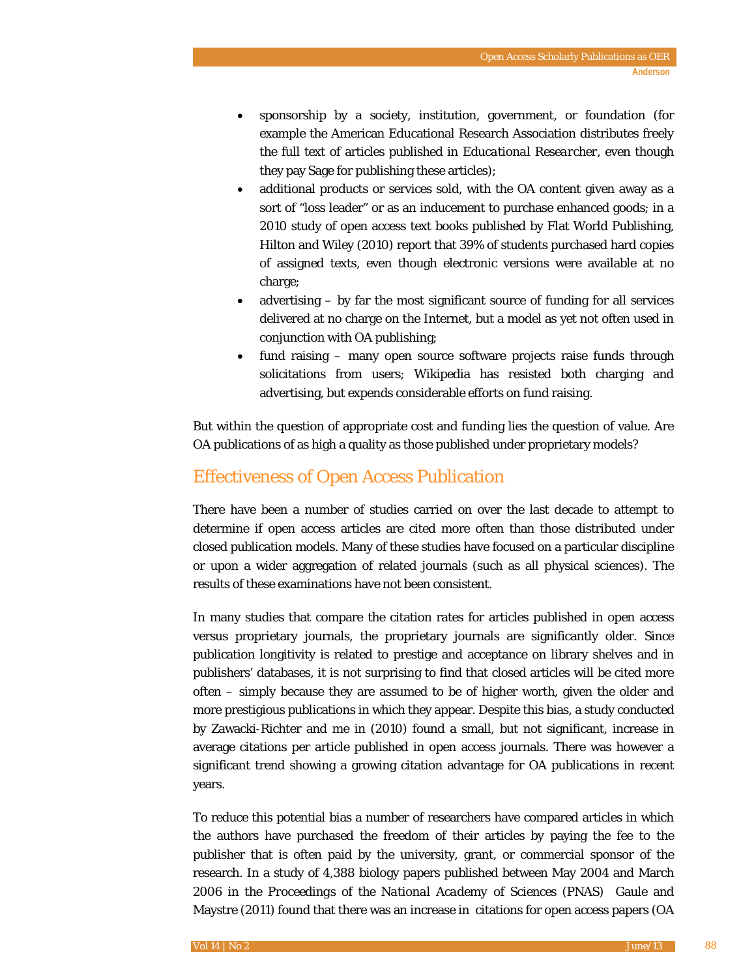- sponsorship by a society, institution, government, or foundation (for example the American Educational Research Association distributes freely the full text of articles published in *Educational Researcher*, even though they pay Sage for publishing these articles);
- additional products or services sold, with the OA content given away as a sort of "loss leader" or as an inducement to purchase enhanced goods; in a 2010 study of open access text books published by Flat World Publishing, Hilton and Wiley [\(2010\)](#page-13-3) report that 39% of students purchased hard copies of assigned texts, even though electronic versions were available at no charge;
- advertising by far the most significant source of funding for all services delivered at no charge on the Internet, but a model as yet not often used in conjunction with OA publishing;
- fund raising many open source software projects raise funds through solicitations from users; Wikipedia has resisted both charging and advertising, but expends considerable efforts on fund raising.

But within the question of appropriate cost and funding lies the question of value. Are OA publications of as high a quality as those published under proprietary models?

### Effectiveness of Open Access Publication

There have been a number of studies carried on over the last decade to attempt to determine if open access articles are cited more often than those distributed under closed publication models. Many of these studies have focused on a particular discipline or upon a wider aggregation of related journals (such as all physical sciences). The results of these examinations have not been consistent.

In many studies that compare the citation rates for articles published in open access versus proprietary journals, the proprietary journals are significantly older. Since publication longitivity is related to prestige and acceptance on library shelves and in publishers' databases, it is not surprising to find that closed articles will be cited more often – simply because they are assumed to be of higher worth, given the older and more prestigious publications in which they appear. Despite this bias, a study conducted by Zawacki-Richter and me in [\(2010\)](#page-14-2) found a small, but not significant, increase in average citations per article published in open access journals. There was however a significant trend showing a growing citation advantage for OA publications in recent years.

To reduce this potential bias a number of researchers have compared articles in which the authors have purchased the freedom of their articles by paying the fee to the publisher that is often paid by the university, grant, or commercial sponsor of the research. In a study of 4,388 biology papers published between May 2004 and March 2006 in the *Proceedings of the National Academy of Sciences* (PNAS) Gaule and Maystre [\(2011\)](#page-13-4) found that there was an increase in citations for open access papers (OA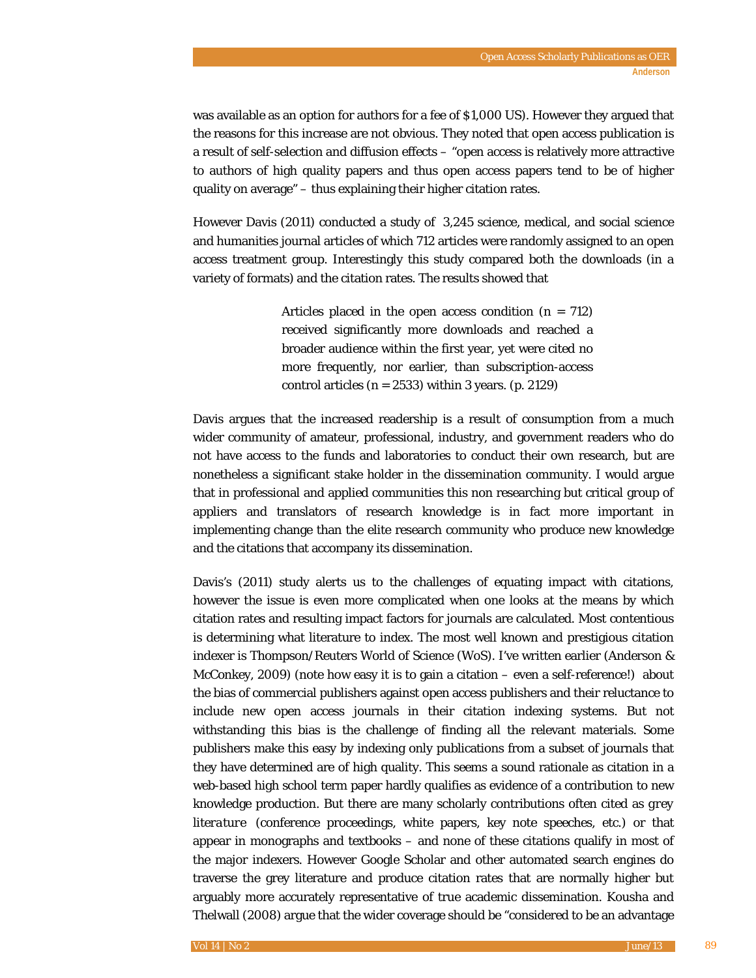was available as an option for authors for a fee of \$1,000 US). However they argued that the reasons for this increase are not obvious. They noted that open access publication is a result of self-selection and diffusion effects – "open access is relatively more attractive to authors of high quality papers and thus open access papers tend to be of higher quality on average" – thus explaining their higher citation rates.

However Davis [\(2011\)](#page-13-5) conducted a study of 3,245 science, medical, and social science and humanities journal articles of which 712 articles were randomly assigned to an open access treatment group. Interestingly this study compared both the downloads (in a variety of formats) and the citation rates. The results showed that

> Articles placed in the open access condition (*n* = 712) received significantly more downloads and reached a broader audience within the first year, yet were cited no more frequently, nor earlier, than subscription-access control articles  $(n = 2533)$  within 3 years. (p. 2129)

Davis argues that the increased readership is a result of consumption from a much wider community of amateur, professional, industry, and government readers who do not have access to the funds and laboratories to conduct their own research, but are nonetheless a significant stake holder in the dissemination community. I would argue that in professional and applied communities this non researching but critical group of appliers and translators of research knowledge is in fact more important in implementing change than the elite research community who produce new knowledge and the citations that accompany its dissemination.

Davis's (2011) study alerts us to the challenges of equating impact with citations, however the issue is even more complicated when one looks at the means by which citation rates and resulting impact factors for journals are calculated. Most contentious is determining what literature to index. The most well known and prestigious citation indexer is Thompson/Reuters World of Science (WoS). I've written earlier [\(Anderson &](#page-13-6)  [McConkey, 2009\)](#page-13-6) (note how easy it is to gain a citation – even a self-reference!) about the bias of commercial publishers against open access publishers and their reluctance to include new open access journals in their citation indexing systems. But not withstanding this bias is the challenge of finding all the relevant materials. Some publishers make this easy by indexing only publications from a subset of journals that they have determined are of high quality. This seems a sound rationale as citation in a web-based high school term paper hardly qualifies as evidence of a contribution to new knowledge production. But there are many scholarly contributions often cited as *grey literature* (conference proceedings, white papers, key note speeches, etc.) or that appear in monographs and textbooks – and none of these citations qualify in most of the major indexers. However Google Scholar and other automated search engines do traverse the grey literature and produce citation rates that are normally higher but arguably more accurately representative of true academic dissemination. Kousha and Thelwall [\(2008\)](#page-13-7) argue that the wider coverage should be "considered to be an advantage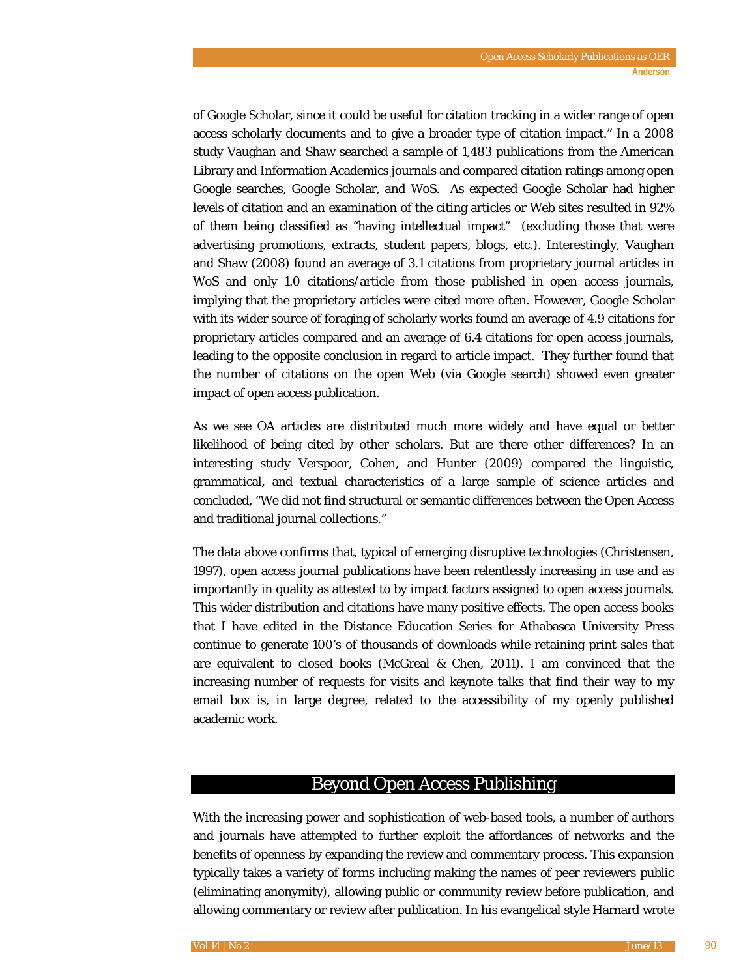of Google Scholar, since it could be useful for citation tracking in a wider range of open access scholarly documents and to give a broader type of citation impact." In a 2008 study Vaughan and Shaw searched a sample of 1,483 publications from the American Library and Information Academics journals and compared citation ratings among open Google searches, Google Scholar, and WoS. As expected Google Scholar had higher levels of citation and an examination of the citing articles or Web sites resulted in 92% of them being classified as "having intellectual impact" (excluding those that were advertising promotions, extracts, student papers, blogs, etc.). Interestingly, Vaughan and Shaw (2008) found an average of 3.1 citations from proprietary journal articles in WoS and only 1.0 citations/article from those published in open access journals, implying that the proprietary articles were cited more often. However, Google Scholar with its wider source of foraging of scholarly works found an average of 4.9 citations for proprietary articles compared and an average of 6.4 citations for open access journals, leading to the opposite conclusion in regard to article impact. They further found that the number of citations on the open Web (via Google search) showed even greater impact of open access publication.

As we see OA articles are distributed much more widely and have equal or better likelihood of being cited by other scholars. But are there other differences? In an interesting study Verspoor, Cohen, and Hunter [\(2009\)](#page-14-3) compared the linguistic, grammatical, and textual characteristics of a large sample of science articles and concluded, "We did not find structural or semantic differences between the Open Access and traditional journal collections."

The data above confirms that, typical of emerging disruptive technologies [\(Christensen,](#page-13-8)  [1997\)](#page-13-8), open access journal publications have been relentlessly increasing in use and as importantly in quality as attested to by impact factors assigned to open access journals. This wider distribution and citations have many positive effects. The open access books that I have edited in the Distance Education Series for Athabasca University Press continue to generate 100's of thousands of downloads while retaining print sales that are equivalent to closed books [\(McGreal & Chen, 2011\)](#page-13-9). I am convinced that the increasing number of requests for visits and keynote talks that find their way to my email box is, in large degree, related to the accessibility of my openly published academic work.

### Beyond Open Access Publishing

With the increasing power and sophistication of web-based tools, a number of authors and journals have attempted to further exploit the affordances of networks and the benefits of openness by expanding the review and commentary process. This expansion typically takes a variety of forms including making the names of peer reviewers public (eliminating anonymity), allowing public or community review before publication, and allowing commentary or review after publication. In his evangelical style Harnard wrote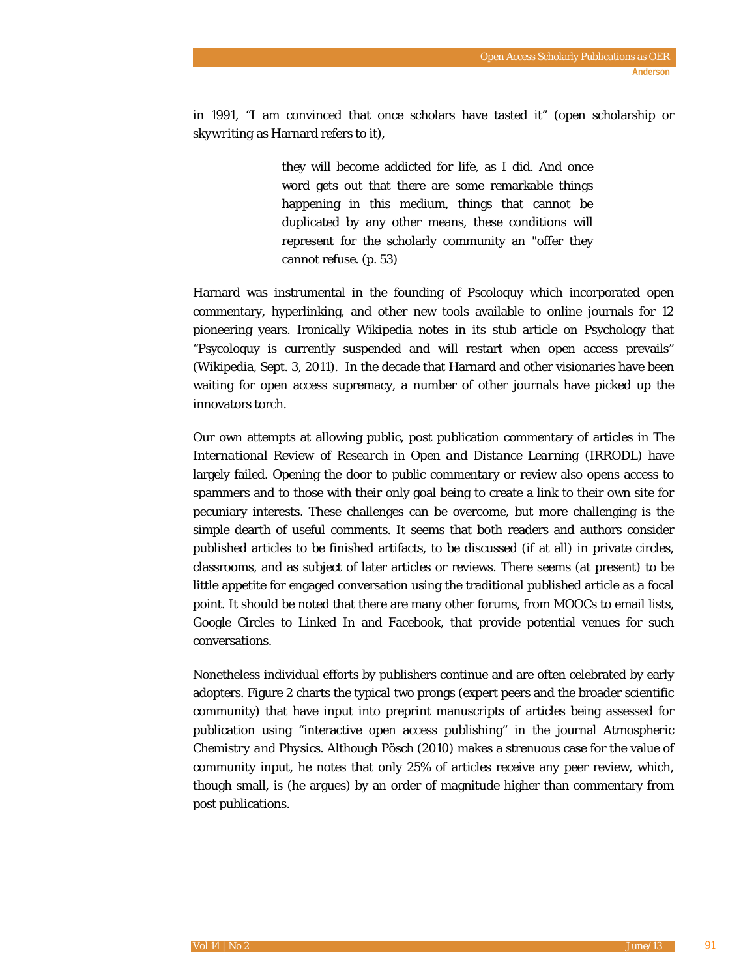in 1991, "I am convinced that once scholars have tasted it" (open scholarship or *skywriting* as Harnard refers to it),

> they will become addicted for life, as I did. And once word gets out that there are some remarkable things happening in this medium, things that cannot be duplicated by any other means, these conditions will represent for the scholarly community an "offer they cannot refuse. (p. 53)

Harnard was instrumental in the founding of Pscoloquy which incorporated open commentary, hyperlinking, and other new tools available to online journals for 12 pioneering years. Ironically Wikipedia notes in its stub article on Psychology that "Psycoloquy is currently suspended and will restart when open access prevails" (Wikipedia, Sept. 3, 2011). In the decade that Harnard and other visionaries have been waiting for open access supremacy, a number of other journals have picked up the innovators torch.

Our own attempts at allowing public, post publication commentary of articles in *The International Review of Research in Open and Distance Learning* (IRRODL) have largely failed. Opening the door to public commentary or review also opens access to spammers and to those with their only goal being to create a link to their own site for pecuniary interests. These challenges can be overcome, but more challenging is the simple dearth of useful comments. It seems that both readers and authors consider published articles to be finished artifacts, to be discussed (if at all) in private circles, classrooms, and as subject of later articles or reviews. There seems (at present) to be little appetite for engaged conversation using the traditional published article as a focal point. It should be noted that there are many other forums, from MOOCs to email lists, Google Circles to Linked In and Facebook, that provide potential venues for such conversations.

Nonetheless individual efforts by publishers continue and are often celebrated by early adopters. Figure 2 charts the typical two prongs (expert peers and the broader scientific community) that have input into preprint manuscripts of articles being assessed for publication using "interactive open access publishing" in the journal *Atmospheric Chemistry and Physics*. Although Pösch [\(2010\)](#page-13-10) makes a strenuous case for the value of community input, he notes that only 25% of articles receive any peer review, which, though small, is (he argues) by an order of magnitude higher than commentary from post publications.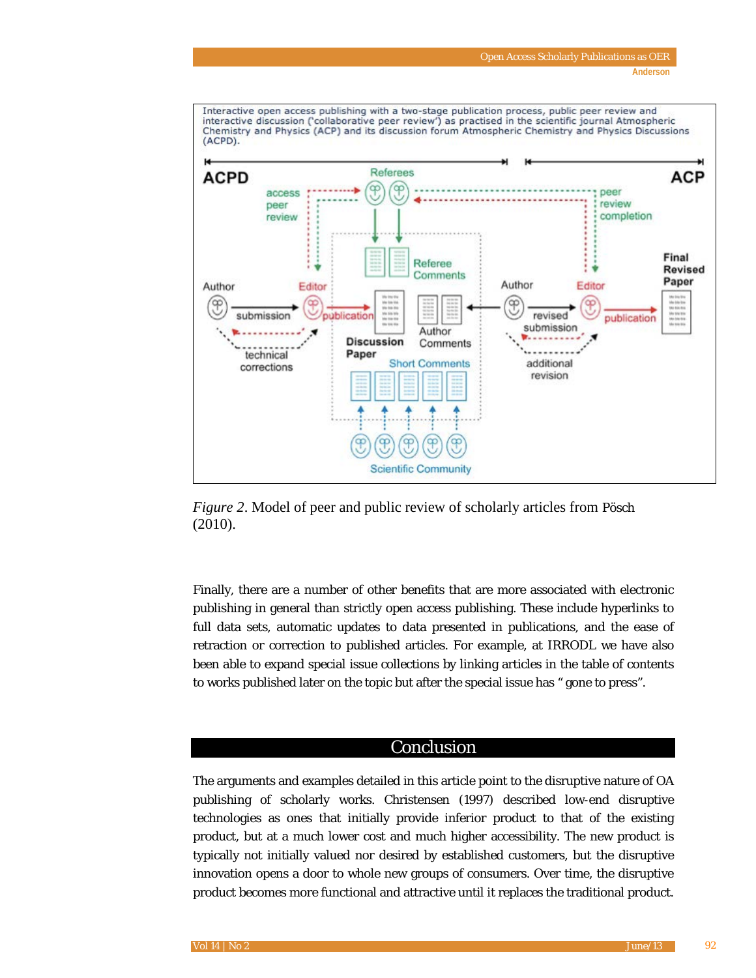

*Figure 2*. Model of peer and public review of scholarly articles from Pösch (2010).

Finally, there are a number of other benefits that are more associated with electronic publishing in general than strictly open access publishing. These include hyperlinks to full data sets, automatic updates to data presented in publications, and the ease of retraction or correction to published articles. For example, at IRRODL we have also been able to expand special issue collections by linking articles in the table of contents to works published later on the topic but after the special issue has " gone to press".

#### Conclusion

The arguments and examples detailed in this article point to the disruptive nature of OA publishing of scholarly works. Christensen (1997) described low-end disruptive technologies as ones that initially provide inferior product to that of the existing product, but at a much lower cost and much higher accessibility. The new product is typically not initially valued nor desired by established customers, but the disruptive innovation opens a door to whole new groups of consumers. Over time, the disruptive product becomes more functional and attractive until it replaces the traditional product.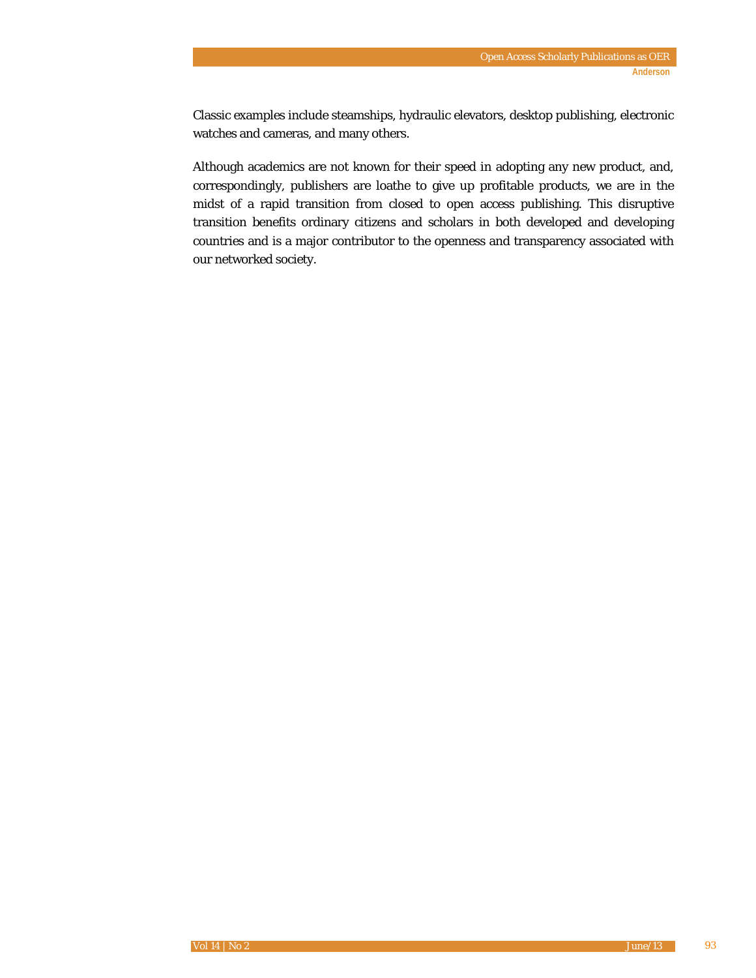Classic examples include steamships, hydraulic elevators, desktop publishing, electronic watches and cameras, and many others.

Although academics are not known for their speed in adopting any new product, and, correspondingly, publishers are loathe to give up profitable products, we are in the midst of a rapid transition from closed to open access publishing. This disruptive transition benefits ordinary citizens and scholars in both developed and developing countries and is a major contributor to the openness and transparency associated with our networked society.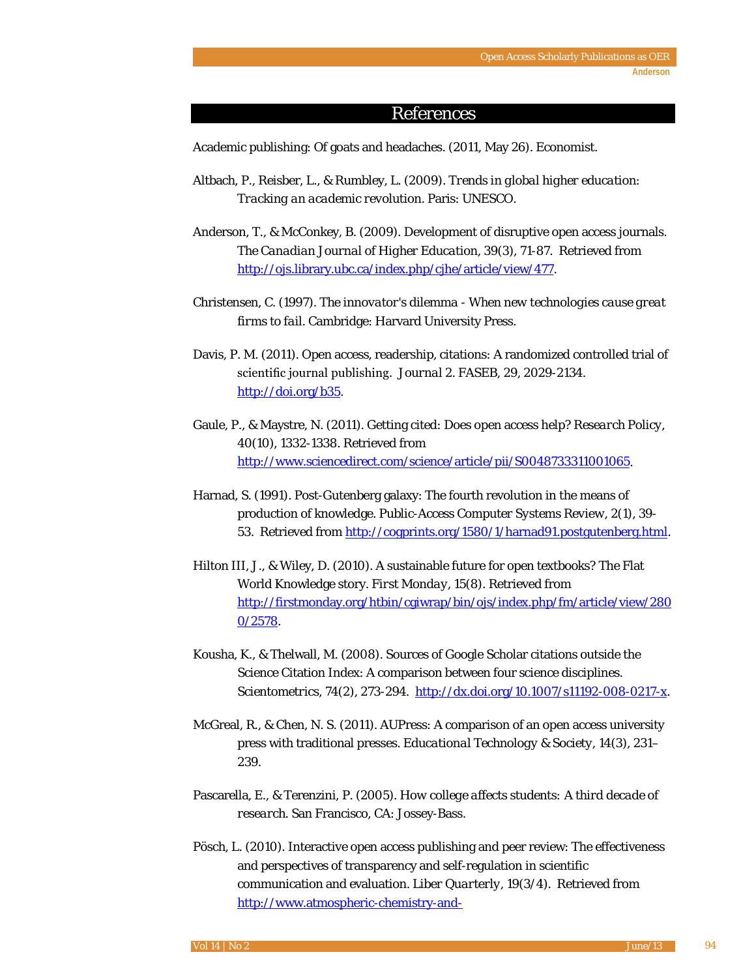#### References

<span id="page-13-2"></span>Academic publishing: Of goats and headaches. (2011, May 26). *Economist*.

- <span id="page-13-1"></span>Altbach, P., Reisber, L., & Rumbley, L. (2009). *Trends in global higher education: Tracking an academic revolution*. Paris: UNESCO.
- <span id="page-13-6"></span>Anderson, T., & McConkey, B. (2009). Development of disruptive open access journals. *The Canadian Journal of Higher Education, 39*(3), 71-87. Retrieved from [http://ojs.library.ubc.ca/index.php/cjhe/article/view/477.](http://ojs.library.ubc.ca/index.php/cjhe/article/view/477)
- <span id="page-13-8"></span>Christensen, C. (1997). *The innovator's dilemma - When new technologies cause great firms to fail*. Cambridge: Harvard University Press.
- <span id="page-13-5"></span>Davis, P. M. (2011). Open access, readership, citations: A randomized controlled trial of scientific journal publishing. *Journal 2. FASEB, 29*, 2029-2134. [http://doi.org/b35.](http://doi.org/b35)
- <span id="page-13-4"></span>Gaule, P., & Maystre, N. (2011). Getting cited: Does open access help? *Research Policy, 40*(10), 1332-1338. Retrieved from [http://www.sciencedirect.com/science/article/pii/S0048733311001065.](http://www.sciencedirect.com/science/article/pii/S0048733311001065)
- Harnad, S. (1991). Post-Gutenberg galaxy: The fourth revolution in the means of production of knowledge. *Public-Access Computer Systems Review, 2*(1), 39- 53. Retrieved fro[m http://cogprints.org/1580/1/harnad91.postgutenberg.html.](http://cogprints.org/1580/1/harnad91.postgutenberg.html)
- <span id="page-13-3"></span>Hilton III, J., & Wiley, D. (2010). A sustainable future for open textbooks? The Flat World Knowledge story. *First Monday, 15*(8). Retrieved from [http://firstmonday.org/htbin/cgiwrap/bin/ojs/index.php/fm/article/view/280](http://firstmonday.org/htbin/cgiwrap/bin/ojs/index.php/fm/article/view/2800/2578) [0/2578.](http://firstmonday.org/htbin/cgiwrap/bin/ojs/index.php/fm/article/view/2800/2578)
- <span id="page-13-7"></span>Kousha, K., & Thelwall, M. (2008). Sources of Google Scholar citations outside the Science Citation Index: A comparison between four science disciplines. *Scientometrics, 74*(2), 273-294. [http://dx.doi.org/10.1007/s11192-008-0217-x.](http://dx.doi.org/10.1007/s11192-008-0217-x)
- <span id="page-13-9"></span>McGreal, R., & Chen, N. S. (2011). AUPress: A comparison of an open access university press with traditional presses. *Educational Technology & Society, 14*(3), 231– 239.
- <span id="page-13-0"></span>Pascarella, E., & Terenzini, P. (2005). *How college affects students: A third decade of research.* San Francisco, CA: Jossey-Bass.
- <span id="page-13-10"></span>Pösch, L. (2010). Interactive open access publishing and peer review: The effectiveness and perspectives of transparency and self-regulation in scientific communication and evaluation. *Liber Quarterly, 19*(3/4). Retrieved from [http://www.atmospheric-chemistry-and-](http://www.atmospheric-chemistry-and-physics.net/pr_acp_poschl_liber_quarterly_2010_interactive_open_access_publishing.pdf)